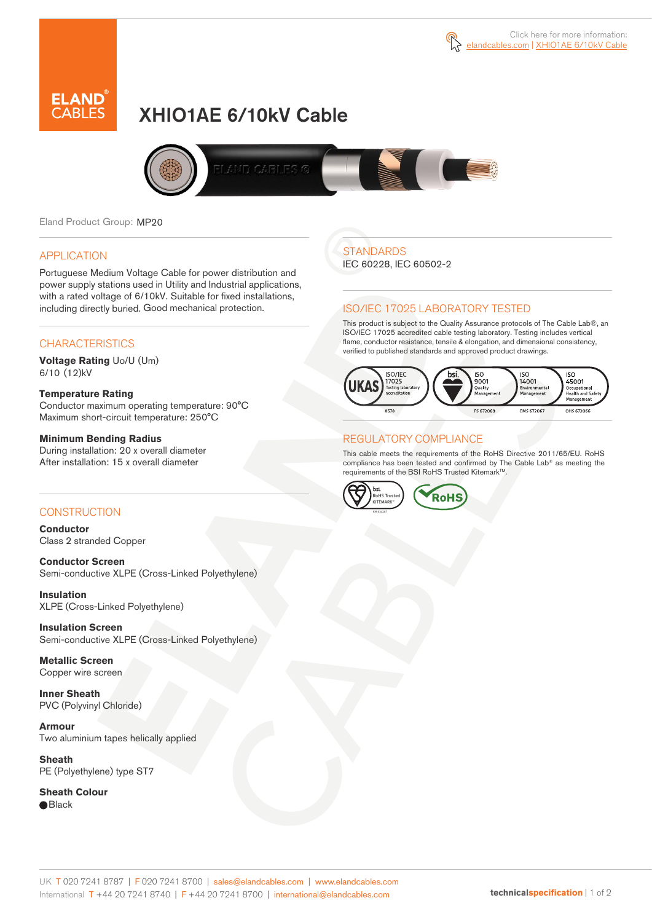

# XHIO1AE 6/10kV Cable



Eland Product Group: MP20

### APPLICATION

Portuguese Medium Voltage Cable for power distribution and power supply stations used in Utility and Industrial applications, with a rated voltage of 6/10kV. Suitable for fixed installations, including directly buried. Good mechanical protection.

### **CHARACTERISTICS**

**Voltage Rating** Uo/U (Um) 6/10 (12)kV

### **Temperature Rating**

Conductor maximum operating temperature: 90°C Maximum short-circuit temperature: 250°C

### **Minimum Bending Radius**

During installation: 20 x overall diameter After installation: 15 x overall diameter

### CONSTRUCTION

**Conductor**  Class 2 stranded Copper

**Conductor Screen** Semi-conductive XLPE (Cross-Linked Polyethylene)

**Insulation** XLPE (Cross-Linked Polyethylene)

**Insulation Screen** Semi-conductive XLPE (Cross-Linked Polyethylene)

**Metallic Screen**  Copper wire screen

**Inner Sheath** PVC (Polyvinyl Chloride)

**Armour** Two aluminium tapes helically applied

**Sheath** PE (Polyethylene) type ST7

**Sheath Colour**  ● Black

## **STANDARDS**

IEC 60228, IEC 60502-2

### ISO/IEC 17025 LABORATORY TESTED

This product is subject to the Quality Assurance protocols of The Cable Lab®, an ISO/IEC 17025 accredited cable testing laboratory. Testing includes vertical flame, conductor resistance, tensile & elongation, and dimensional consistency, verified to published standards and approved product drawings.



### REGULATORY COMPLIANCE

This cable meets the requirements of the RoHS Directive 2011/65/EU. RoHS compliance has been tested and confirmed by The Cable Lab® as meeting the requirements of the BSI RoHS Trusted KitemarkTM.